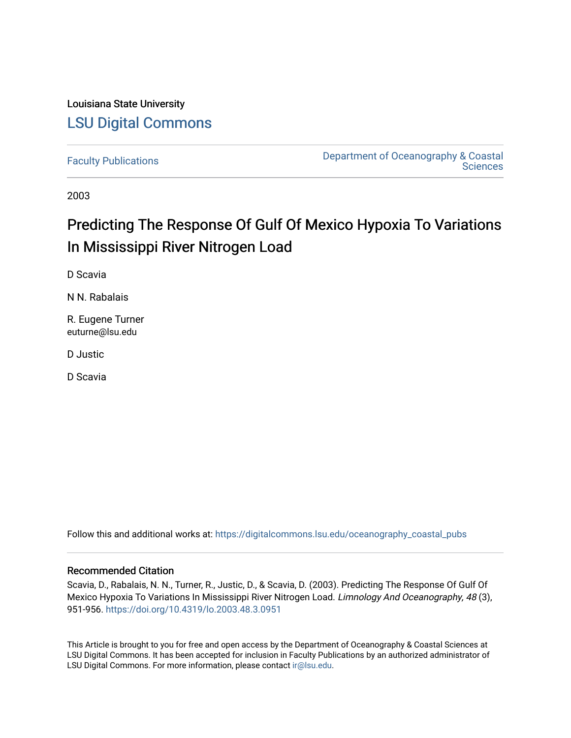## Louisiana State University [LSU Digital Commons](https://digitalcommons.lsu.edu/)

[Faculty Publications](https://digitalcommons.lsu.edu/oceanography_coastal_pubs) [Department of Oceanography & Coastal](https://digitalcommons.lsu.edu/oceanography_coastal)  **Sciences** 

2003

# Predicting The Response Of Gulf Of Mexico Hypoxia To Variations In Mississippi River Nitrogen Load

D Scavia

N N. Rabalais

R. Eugene Turner euturne@lsu.edu

D Justic

D Scavia

Follow this and additional works at: [https://digitalcommons.lsu.edu/oceanography\\_coastal\\_pubs](https://digitalcommons.lsu.edu/oceanography_coastal_pubs?utm_source=digitalcommons.lsu.edu%2Foceanography_coastal_pubs%2F97&utm_medium=PDF&utm_campaign=PDFCoverPages) 

#### Recommended Citation

Scavia, D., Rabalais, N. N., Turner, R., Justic, D., & Scavia, D. (2003). Predicting The Response Of Gulf Of Mexico Hypoxia To Variations In Mississippi River Nitrogen Load. Limnology And Oceanography, 48 (3), 951-956. <https://doi.org/10.4319/lo.2003.48.3.0951>

This Article is brought to you for free and open access by the Department of Oceanography & Coastal Sciences at LSU Digital Commons. It has been accepted for inclusion in Faculty Publications by an authorized administrator of LSU Digital Commons. For more information, please contact [ir@lsu.edu.](mailto:ir@lsu.edu)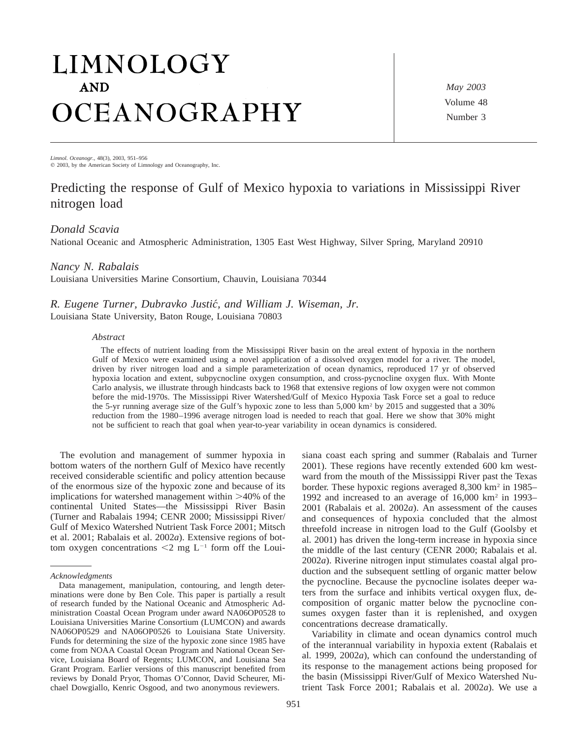# LIMNOLOGY **AND** OCEANOGRAPHY

*May 2003* Volume 48 Number 3

*Limnol. Oceanogr.,* 48(3), 2003, 951–956  $©$  2003, by the American Society of Limnology and Oceanography, Inc.

### Predicting the response of Gulf of Mexico hypoxia to variations in Mississippi River nitrogen load

#### *Donald Scavia*

National Oceanic and Atmospheric Administration, 1305 East West Highway, Silver Spring, Maryland 20910

#### *Nancy N. Rabalais*

Louisiana Universities Marine Consortium, Chauvin, Louisiana 70344

*R. Eugene Turner, Dubravko Justic´, and William J. Wiseman, Jr.* Louisiana State University, Baton Rouge, Louisiana 70803

#### *Abstract*

The effects of nutrient loading from the Mississippi River basin on the areal extent of hypoxia in the northern Gulf of Mexico were examined using a novel application of a dissolved oxygen model for a river. The model, driven by river nitrogen load and a simple parameterization of ocean dynamics, reproduced 17 yr of observed hypoxia location and extent, subpycnocline oxygen consumption, and cross-pycnocline oxygen flux. With Monte Carlo analysis, we illustrate through hindcasts back to 1968 that extensive regions of low oxygen were not common before the mid-1970s. The Mississippi River Watershed/Gulf of Mexico Hypoxia Task Force set a goal to reduce the 5-yr running average size of the Gulf's hypoxic zone to less than 5,000 km2 by 2015 and suggested that a 30% reduction from the 1980–1996 average nitrogen load is needed to reach that goal. Here we show that 30% might not be sufficient to reach that goal when year-to-year variability in ocean dynamics is considered.

The evolution and management of summer hypoxia in bottom waters of the northern Gulf of Mexico have recently received considerable scientific and policy attention because of the enormous size of the hypoxic zone and because of its implications for watershed management within  $>40\%$  of the continental United States—the Mississippi River Basin (Turner and Rabalais 1994; CENR 2000; Mississippi River/ Gulf of Mexico Watershed Nutrient Task Force 2001; Mitsch et al. 2001; Rabalais et al. 2002*a*). Extensive regions of bottom oxygen concentrations  $\leq 2$  mg L<sup>-1</sup> form off the Louisiana coast each spring and summer (Rabalais and Turner 2001). These regions have recently extended 600 km westward from the mouth of the Mississippi River past the Texas border. These hypoxic regions averaged 8,300 km<sup>2</sup> in 1985– 1992 and increased to an average of 16,000 km2 in 1993– 2001 (Rabalais et al. 2002*a*). An assessment of the causes and consequences of hypoxia concluded that the almost threefold increase in nitrogen load to the Gulf (Goolsby et al. 2001) has driven the long-term increase in hypoxia since the middle of the last century (CENR 2000; Rabalais et al. 2002*a*). Riverine nitrogen input stimulates coastal algal production and the subsequent settling of organic matter below the pycnocline. Because the pycnocline isolates deeper waters from the surface and inhibits vertical oxygen flux, decomposition of organic matter below the pycnocline consumes oxygen faster than it is replenished, and oxygen concentrations decrease dramatically.

Variability in climate and ocean dynamics control much of the interannual variability in hypoxia extent (Rabalais et al. 1999, 2002*a*), which can confound the understanding of its response to the management actions being proposed for the basin (Mississippi River/Gulf of Mexico Watershed Nutrient Task Force 2001; Rabalais et al. 2002*a*). We use a

*Acknowledgments*

Data management, manipulation, contouring, and length determinations were done by Ben Cole. This paper is partially a result of research funded by the National Oceanic and Atmospheric Administration Coastal Ocean Program under award NA06OP0528 to Louisiana Universities Marine Consortium (LUMCON) and awards NA06OP0529 and NA06OP0526 to Louisiana State University. Funds for determining the size of the hypoxic zone since 1985 have come from NOAA Coastal Ocean Program and National Ocean Service, Louisiana Board of Regents; LUMCON, and Louisiana Sea Grant Program. Earlier versions of this manuscript benefited from reviews by Donald Pryor, Thomas O'Connor, David Scheurer, Michael Dowgiallo, Kenric Osgood, and two anonymous reviewers.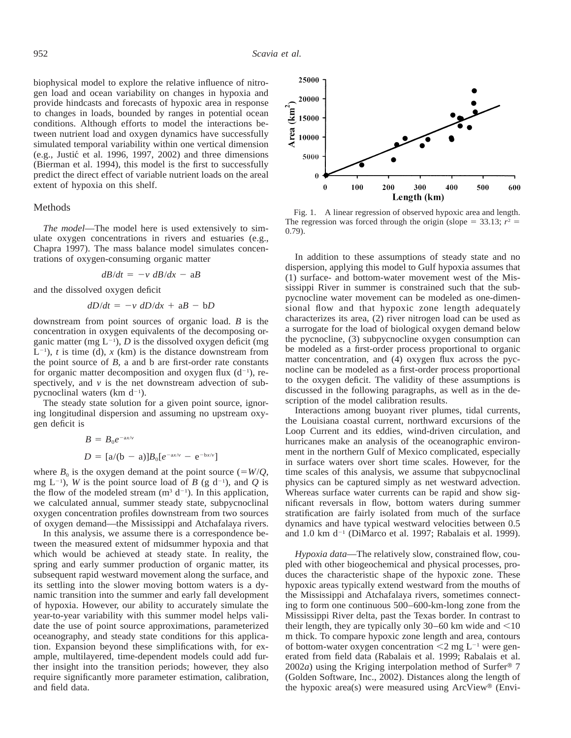biophysical model to explore the relative influence of nitrogen load and ocean variability on changes in hypoxia and provide hindcasts and forecasts of hypoxic area in response to changes in loads, bounded by ranges in potential ocean conditions. Although efforts to model the interactions between nutrient load and oxygen dynamics have successfully simulated temporal variability within one vertical dimension  $(e.g., Justi\acute{c}$  et al. 1996, 1997, 2002) and three dimensions (Bierman et al. 1994), this model is the first to successfully predict the direct effect of variable nutrient loads on the areal extent of hypoxia on this shelf.

#### Methods

*The model*—The model here is used extensively to simulate oxygen concentrations in rivers and estuaries (e.g., Chapra 1997). The mass balance model simulates concentrations of oxygen-consuming organic matter

$$
dB/dt = -v \, dB/dx - aB
$$

and the dissolved oxygen deficit

$$
dD/dt = -v \, dD/dx + aB - bD
$$

downstream from point sources of organic load. *B* is the concentration in oxygen equivalents of the decomposing organic matter (mg  $L^{-1}$ ), *D* is the dissolved oxygen deficit (mg  $L^{-1}$ , *t* is time (d), *x* (km) is the distance downstream from the point source of *B,* a and b are first-order rate constants for organic matter decomposition and oxygen flux  $(d^{-1})$ , respectively, and *v* is the net downstream advection of subpycnoclinal waters (km  $d^{-1}$ ).

The steady state solution for a given point source, ignoring longitudinal dispersion and assuming no upstream oxygen deficit is

$$
B = B_0 e^{-ax/v}
$$
  

$$
D = [a/(b - a)]B_0[e^{-ax/v} - e^{-bx/v}]
$$

where  $B_0$  is the oxygen demand at the point source (= $W/Q$ , mg  $L^{-1}$ ), *W* is the point source load of *B* (g d<sup>-1</sup>), and *Q* is the flow of the modeled stream  $(m<sup>3</sup> d<sup>-1</sup>)$ . In this application, we calculated annual, summer steady state, subpycnoclinal oxygen concentration profiles downstream from two sources of oxygen demand—the Mississippi and Atchafalaya rivers.

In this analysis, we assume there is a correspondence between the measured extent of midsummer hypoxia and that which would be achieved at steady state. In reality, the spring and early summer production of organic matter, its subsequent rapid westward movement along the surface, and its settling into the slower moving bottom waters is a dynamic transition into the summer and early fall development of hypoxia. However, our ability to accurately simulate the year-to-year variability with this summer model helps validate the use of point source approximations, parameterized oceanography, and steady state conditions for this application. Expansion beyond these simplifications with, for example, multilayered, time-dependent models could add further insight into the transition periods; however, they also require significantly more parameter estimation, calibration, and field data.



Fig. 1. A linear regression of observed hypoxic area and length. The regression was forced through the origin (slope =  $33.13$ ;  $r^2$  = 0.79).

In addition to these assumptions of steady state and no dispersion, applying this model to Gulf hypoxia assumes that (1) surface- and bottom-water movement west of the Mississippi River in summer is constrained such that the subpycnocline water movement can be modeled as one-dimensional flow and that hypoxic zone length adequately characterizes its area, (2) river nitrogen load can be used as a surrogate for the load of biological oxygen demand below the pycnocline, (3) subpycnocline oxygen consumption can be modeled as a first-order process proportional to organic matter concentration, and (4) oxygen flux across the pycnocline can be modeled as a first-order process proportional to the oxygen deficit. The validity of these assumptions is discussed in the following paragraphs, as well as in the description of the model calibration results.

Interactions among buoyant river plumes, tidal currents, the Louisiana coastal current, northward excursions of the Loop Current and its eddies, wind-driven circulation, and hurricanes make an analysis of the oceanographic environment in the northern Gulf of Mexico complicated, especially in surface waters over short time scales. However, for the time scales of this analysis, we assume that subpycnoclinal physics can be captured simply as net westward advection. Whereas surface water currents can be rapid and show significant reversals in flow, bottom waters during summer stratification are fairly isolated from much of the surface dynamics and have typical westward velocities between 0.5 and 1.0 km d<sup>-1</sup> (DiMarco et al. 1997; Rabalais et al. 1999).

*Hypoxia data*—The relatively slow, constrained flow, coupled with other biogeochemical and physical processes, produces the characteristic shape of the hypoxic zone. These hypoxic areas typically extend westward from the mouths of the Mississippi and Atchafalaya rivers, sometimes connecting to form one continuous 500–600-km-long zone from the Mississippi River delta, past the Texas border. In contrast to their length, they are typically only  $30-60$  km wide and  $<$ 10 m thick. To compare hypoxic zone length and area, contours of bottom-water oxygen concentration  $\leq 2$  mg L<sup>-1</sup> were generated from field data (Rabalais et al. 1999; Rabalais et al.  $2002a$ ) using the Kriging interpolation method of Surfer<sup>®</sup> 7 (Golden Software, Inc., 2002). Distances along the length of the hypoxic area(s) were measured using  $ArcView^{\circledast}$  (Envi-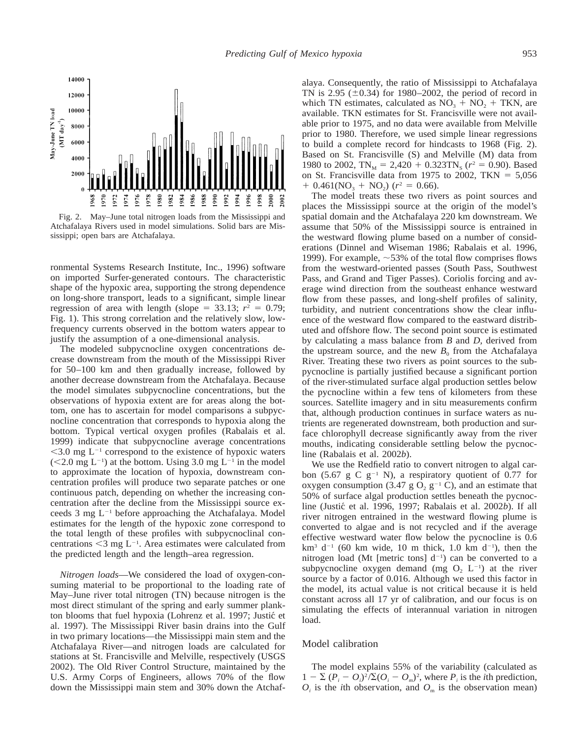

Fig. 2. May–June total nitrogen loads from the Mississippi and Atchafalaya Rivers used in model simulations. Solid bars are Mississippi; open bars are Atchafalaya.

ronmental Systems Research Institute, Inc., 1996) software on imported Surfer-generated contours. The characteristic shape of the hypoxic area, supporting the strong dependence on long-shore transport, leads to a significant, simple linear regression of area with length (slope =  $33.13$ ;  $r^2 = 0.79$ ; Fig. 1). This strong correlation and the relatively slow, lowfrequency currents observed in the bottom waters appear to justify the assumption of a one-dimensional analysis.

The modeled subpycnocline oxygen concentrations decrease downstream from the mouth of the Mississippi River for 50–100 km and then gradually increase, followed by another decrease downstream from the Atchafalaya. Because the model simulates subpycnocline concentrations, but the observations of hypoxia extent are for areas along the bottom, one has to ascertain for model comparisons a subpycnocline concentration that corresponds to hypoxia along the bottom. Typical vertical oxygen profiles (Rabalais et al. 1999) indicate that subpycnocline average concentrations  $<$ 3.0 mg L<sup>-1</sup> correspond to the existence of hypoxic waters  $(< 2.0$  mg L<sup>-1</sup>) at the bottom. Using 3.0 mg L<sup>-1</sup> in the model to approximate the location of hypoxia, downstream concentration profiles will produce two separate patches or one continuous patch, depending on whether the increasing concentration after the decline from the Mississippi source exceeds 3 mg  $L^{-1}$  before approaching the Atchafalaya. Model estimates for the length of the hypoxic zone correspond to the total length of these profiles with subpycnoclinal concentrations  $\leq$ 3 mg L<sup>-1</sup>. Area estimates were calculated from the predicted length and the length–area regression.

*Nitrogen loads*—We considered the load of oxygen-consuming material to be proportional to the loading rate of May–June river total nitrogen (TN) because nitrogen is the most direct stimulant of the spring and early summer plankton blooms that fuel hypoxia (Lohrenz et al. 1997; Justic´ et al. 1997). The Mississippi River basin drains into the Gulf in two primary locations—the Mississippi main stem and the Atchafalaya River—and nitrogen loads are calculated for stations at St. Francisville and Melville, respectively (USGS 2002). The Old River Control Structure, maintained by the U.S. Army Corps of Engineers, allows 70% of the flow down the Mississippi main stem and 30% down the Atchafalaya. Consequently, the ratio of Mississippi to Atchafalaya TN is 2.95 ( $\pm$ 0.34) for 1980–2002, the period of record in which TN estimates, calculated as  $NO<sub>3</sub> + NO<sub>2</sub> + TKN$ , are available. TKN estimates for St. Francisville were not available prior to 1975, and no data were available from Melville prior to 1980. Therefore, we used simple linear regressions to build a complete record for hindcasts to 1968 (Fig. 2). Based on St. Francisville (S) and Melville (M) data from 1980 to 2002,  $TN_M = 2,420 + 0.323TN_S$  ( $r^2 = 0.90$ ). Based on St. Francisville data from 1975 to 2002, TKN  $= 5,056$  $+ 0.461(NO<sub>3</sub> + NO<sub>2</sub>)$  ( $r<sup>2</sup> = 0.66$ ).

The model treats these two rivers as point sources and places the Mississippi source at the origin of the model's spatial domain and the Atchafalaya 220 km downstream. We assume that 50% of the Mississippi source is entrained in the westward flowing plume based on a number of considerations (Dinnel and Wiseman 1986; Rabalais et al. 1996, 1999). For example,  $\sim$  53% of the total flow comprises flows from the westward-oriented passes (South Pass, Southwest Pass, and Grand and Tiger Passes). Coriolis forcing and average wind direction from the southeast enhance westward flow from these passes, and long-shelf profiles of salinity, turbidity, and nutrient concentrations show the clear influence of the westward flow compared to the eastward distributed and offshore flow. The second point source is estimated by calculating a mass balance from *B* and *D,* derived from the upstream source, and the new  $B_0$  from the Atchafalaya River. Treating these two rivers as point sources to the subpycnocline is partially justified because a significant portion of the river-stimulated surface algal production settles below the pycnocline within a few tens of kilometers from these sources. Satellite imagery and in situ measurements confirm that, although production continues in surface waters as nutrients are regenerated downstream, both production and surface chlorophyll decrease significantly away from the river mouths, indicating considerable settling below the pycnocline (Rabalais et al. 2002*b*).

We use the Redfield ratio to convert nitrogen to algal carbon (5.67 g C  $g^{-1}$  N), a respiratory quotient of 0.77 for oxygen consumption (3.47 g  $O_2$  g<sup>-1</sup> C), and an estimate that 50% of surface algal production settles beneath the pycnocline (Justic´ et al. 1996, 1997; Rabalais et al. 2002*b*). If all river nitrogen entrained in the westward flowing plume is converted to algae and is not recycled and if the average effective westward water flow below the pycnocline is 0.6  $km^3$  d<sup>-1</sup> (60 km wide, 10 m thick, 1.0 km d<sup>-1</sup>), then the nitrogen load (Mt [metric tons]  $d^{-1}$ ) can be converted to a subpycnocline oxygen demand (mg  $O_2$  L<sup>-1</sup>) at the river source by a factor of 0.016. Although we used this factor in the model, its actual value is not critical because it is held constant across all 17 yr of calibration, and our focus is on simulating the effects of interannual variation in nitrogen load.

#### Model calibration

The model explains 55% of the variability (calculated as  $1 - \sum (P_i - Q_i)^2 / \sum (Q_i - Q_m)^2$ , where  $P_i$  is the *i*th prediction,  $O_i$  is the *i*th observation, and  $O_m$  is the observation mean)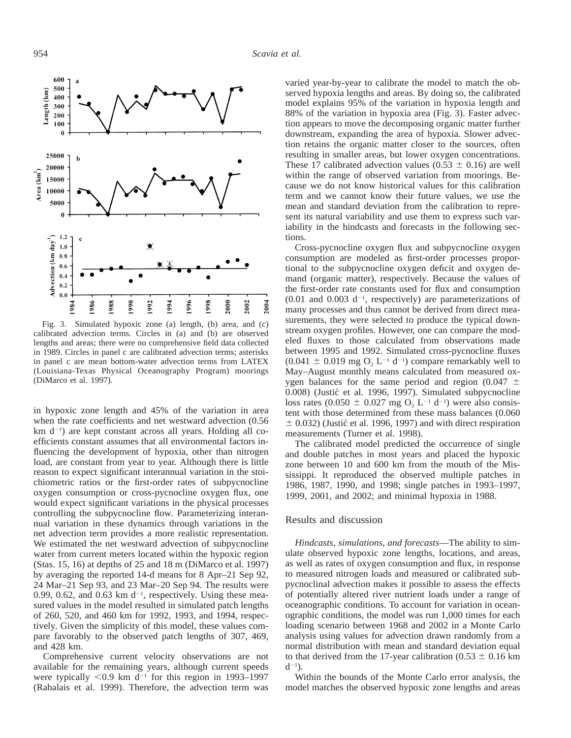

Fig. 3. Simulated hypoxic zone (a) length, (b) area, and (c) calibrated advection terms. Circles in (a) and (b) are observed lengths and areas; there were no comprehensive field data collected in 1989. Circles in panel c are calibrated advection terms; asterisks in panel c are mean bottom-water advection terms from LATEX (Louisiana-Texas Physical Oceanography Program) moorings (DiMarco et al. 1997).

in hypoxic zone length and 45% of the variation in area when the rate coefficients and net westward advection (0.56 km d<sup>-1</sup>) are kept constant across all years. Holding all coefficients constant assumes that all environmental factors influencing the development of hypoxia, other than nitrogen load, are constant from year to year. Although there is little reason to expect significant interannual variation in the stoichiometric ratios or the first-order rates of subpycnocline oxygen consumption or cross-pycnocline oxygen flux, one would expect significant variations in the physical processes controlling the subpycnocline flow. Parameterizing interannual variation in these dynamics through variations in the net advection term provides a more realistic representation. We estimated the net westward advection of subpycnocline water from current meters located within the hypoxic region (Stas. 15, 16) at depths of 25 and 18 m (DiMarco et al. 1997) by averaging the reported 14-d means for 8 Apr–21 Sep 92, 24 Mar–21 Sep 93, and 23 Mar–20 Sep 94. The results were 0.99, 0.62, and 0.63 km  $d^{-1}$ , respectively. Using these measured values in the model resulted in simulated patch lengths of 260, 520, and 460 km for 1992, 1993, and 1994, respectively. Given the simplicity of this model, these values compare favorably to the observed patch lengths of 307, 469, and 428 km.

Comprehensive current velocity observations are not available for the remaining years, although current speeds were typically  $\leq 0.9$  km d<sup>-1</sup> for this region in 1993–1997 (Rabalais et al. 1999). Therefore, the advection term was

varied year-by-year to calibrate the model to match the observed hypoxia lengths and areas. By doing so, the calibrated model explains 95% of the variation in hypoxia length and 88% of the variation in hypoxia area (Fig. 3). Faster advection appears to move the decomposing organic matter further downstream, expanding the area of hypoxia. Slower advection retains the organic matter closer to the sources, often resulting in smaller areas, but lower oxygen concentrations. These 17 calibrated advection values  $(0.53 \pm 0.16)$  are well within the range of observed variation from moorings. Because we do not know historical values for this calibration term and we cannot know their future values, we use the mean and standard deviation from the calibration to represent its natural variability and use them to express such variability in the hindcasts and forecasts in the following sections.

Cross-pycnocline oxygen flux and subpycnocline oxygen consumption are modeled as first-order processes proportional to the subpycnocline oxygen deficit and oxygen demand (organic matter), respectively. Because the values of the first-order rate constants used for flux and consumption  $(0.01$  and  $0.003$  d<sup>-1</sup>, respectively) are parameterizations of many processes and thus cannot be derived from direct measurements, they were selected to produce the typical downstream oxygen profiles. However, one can compare the modeled fluxes to those calculated from observations made between 1995 and 1992. Simulated cross-pycnocline fluxes  $(0.041 \pm 0.019 \text{ mg } O_2 L^{-1} d^{-1})$  compare remarkably well to May–August monthly means calculated from measured oxygen balances for the same period and region (0.047  $\pm$ 0.008) (Justić et al. 1996, 1997). Simulated subpycnocline loss rates (0.050  $\pm$  0.027 mg O<sub>2</sub> L<sup>-1</sup> d<sup>-1</sup>) were also consistent with those determined from these mass balances (0.060  $\pm$  0.032) (Justic´ et al. 1996, 1997) and with direct respiration measurements (Turner et al. 1998).

The calibrated model predicted the occurrence of single and double patches in most years and placed the hypoxic zone between 10 and 600 km from the mouth of the Mississippi. It reproduced the observed multiple patches in 1986, 1987, 1990, and 1998; single patches in 1993–1997, 1999, 2001, and 2002; and minimal hypoxia in 1988.

#### Results and discussion

*Hindcasts, simulations, and forecasts*—The ability to simulate observed hypoxic zone lengths, locations, and areas, as well as rates of oxygen consumption and flux, in response to measured nitrogen loads and measured or calibrated subpycnoclinal advection makes it possible to assess the effects of potentially altered river nutrient loads under a range of oceanographic conditions. To account for variation in oceanographic conditions, the model was run 1,000 times for each loading scenario between 1968 and 2002 in a Monte Carlo analysis using values for advection drawn randomly from a normal distribution with mean and standard deviation equal to that derived from the 17-year calibration (0.53  $\pm$  0.16 km  $d^{-1}$ ).

Within the bounds of the Monte Carlo error analysis, the model matches the observed hypoxic zone lengths and areas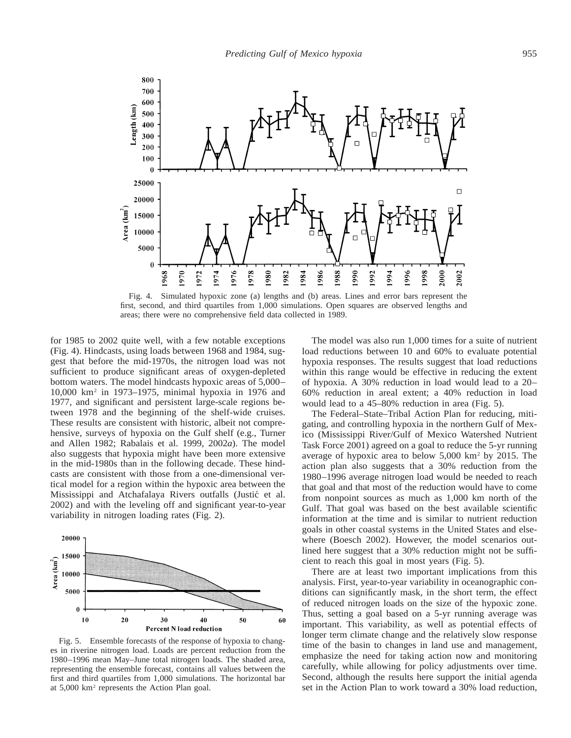

Fig. 4. Simulated hypoxic zone (a) lengths and (b) areas. Lines and error bars represent the first, second, and third quartiles from 1,000 simulations. Open squares are observed lengths and areas; there were no comprehensive field data collected in 1989.

for 1985 to 2002 quite well, with a few notable exceptions (Fig. 4). Hindcasts, using loads between 1968 and 1984, suggest that before the mid-1970s, the nitrogen load was not sufficient to produce significant areas of oxygen-depleted bottom waters. The model hindcasts hypoxic areas of 5,000– 10,000 km2 in 1973–1975, minimal hypoxia in 1976 and 1977, and significant and persistent large-scale regions between 1978 and the beginning of the shelf-wide cruises. These results are consistent with historic, albeit not comprehensive, surveys of hypoxia on the Gulf shelf (e.g., Turner and Allen 1982; Rabalais et al. 1999, 2002*a*). The model also suggests that hypoxia might have been more extensive in the mid-1980s than in the following decade. These hindcasts are consistent with those from a one-dimensional vertical model for a region within the hypoxic area between the Mississippi and Atchafalaya Rivers outfalls (Justic´ et al. 2002) and with the leveling off and significant year-to-year variability in nitrogen loading rates (Fig. 2).



Fig. 5. Ensemble forecasts of the response of hypoxia to changes in riverine nitrogen load. Loads are percent reduction from the 1980–1996 mean May–June total nitrogen loads. The shaded area, representing the ensemble forecast, contains all values between the first and third quartiles from 1,000 simulations. The horizontal bar at 5,000 km2 represents the Action Plan goal.

The model was also run 1,000 times for a suite of nutrient load reductions between 10 and 60% to evaluate potential hypoxia responses. The results suggest that load reductions within this range would be effective in reducing the extent of hypoxia. A 30% reduction in load would lead to a 20– 60% reduction in areal extent; a 40% reduction in load would lead to a 45–80% reduction in area (Fig. 5).

The Federal–State–Tribal Action Plan for reducing, mitigating, and controlling hypoxia in the northern Gulf of Mexico (Mississippi River/Gulf of Mexico Watershed Nutrient Task Force 2001) agreed on a goal to reduce the 5-yr running average of hypoxic area to below 5,000 km2 by 2015. The action plan also suggests that a 30% reduction from the 1980–1996 average nitrogen load would be needed to reach that goal and that most of the reduction would have to come from nonpoint sources as much as 1,000 km north of the Gulf. That goal was based on the best available scientific information at the time and is similar to nutrient reduction goals in other coastal systems in the United States and elsewhere (Boesch 2002). However, the model scenarios outlined here suggest that a 30% reduction might not be sufficient to reach this goal in most years (Fig. 5).

There are at least two important implications from this analysis. First, year-to-year variability in oceanographic conditions can significantly mask, in the short term, the effect of reduced nitrogen loads on the size of the hypoxic zone. Thus, setting a goal based on a 5-yr running average was important. This variability, as well as potential effects of longer term climate change and the relatively slow response time of the basin to changes in land use and management, emphasize the need for taking action now and monitoring carefully, while allowing for policy adjustments over time. Second, although the results here support the initial agenda set in the Action Plan to work toward a 30% load reduction,